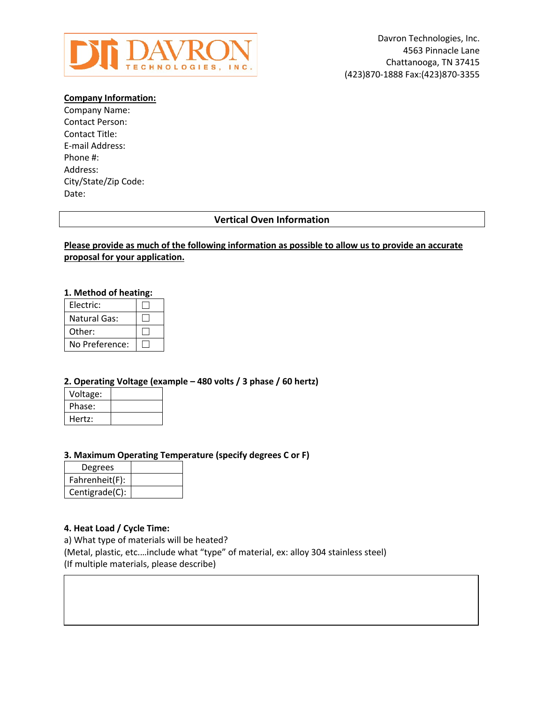

### **Company Information:**

Company Name: Contact Person: Contact Title: E-mail Address: Phone #: Address: City/State/Zip Code: Date:

# **Vertical Oven Information**

## **Please provide as much of the following information as possible to allow us to provide an accurate proposal for your application.**

## **1. Method of heating:**

| Electric:      |  |
|----------------|--|
| Natural Gas:   |  |
| Other:         |  |
| No Preference: |  |

#### **2. Operating Voltage (example – 480 volts / 3 phase / 60 hertz)**

| Voltage: |  |
|----------|--|
| Phase:   |  |
| Hertz:   |  |

#### **3. Maximum Operating Temperature (specify degrees C or F)**

| Degrees        |  |
|----------------|--|
| Fahrenheit(F): |  |
| Centigrade(C): |  |

#### **4. Heat Load / Cycle Time:**

a) What type of materials will be heated? (Metal, plastic, etc.…include what "type" of material, ex: alloy 304 stainless steel) (If multiple materials, please describe)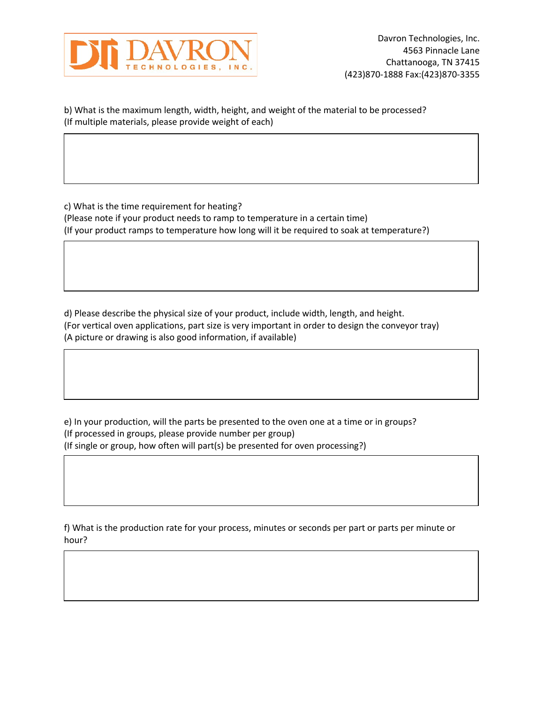

b) What is the maximum length, width, height, and weight of the material to be processed? (If multiple materials, please provide weight of each)

c) What is the time requirement for heating? (Please note if your product needs to ramp to temperature in a certain time) (If your product ramps to temperature how long will it be required to soak at temperature?)

d) Please describe the physical size of your product, include width, length, and height. (For vertical oven applications, part size is very important in order to design the conveyor tray) (A picture or drawing is also good information, if available)

e) In your production, will the parts be presented to the oven one at a time or in groups? (If processed in groups, please provide number per group) (If single or group, how often will part(s) be presented for oven processing?)

f) What is the production rate for your process, minutes or seconds per part or parts per minute or hour?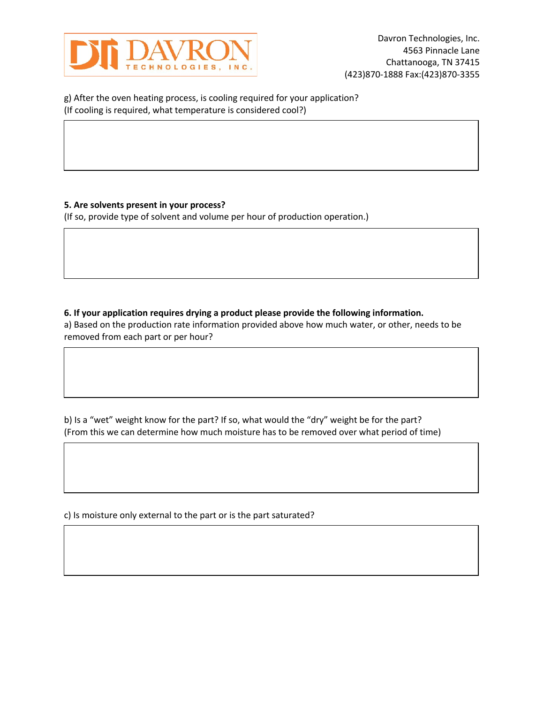

g) After the oven heating process, is cooling required for your application? (If cooling is required, what temperature is considered cool?)

# **5. Are solvents present in your process?**

(If so, provide type of solvent and volume per hour of production operation.)

# **6. If your application requires drying a product please provide the following information.**

a) Based on the production rate information provided above how much water, or other, needs to be removed from each part or per hour?

b) Is a "wet" weight know for the part? If so, what would the "dry" weight be for the part? (From this we can determine how much moisture has to be removed over what period of time)

c) Is moisture only external to the part or is the part saturated?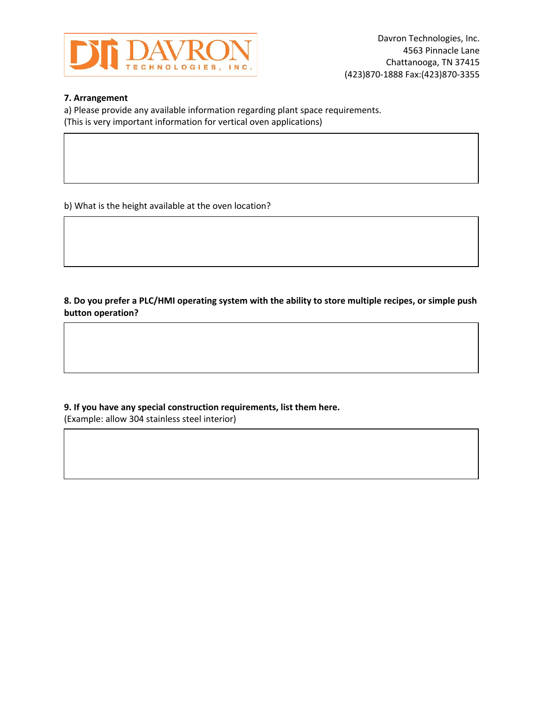

## **7. Arrangement**

a) Please provide any available information regarding plant space requirements. (This is very important information for vertical oven applications)

b) What is the height available at the oven location?

**8. Do you prefer a PLC/HMI operating system with the ability to store multiple recipes, or simple push button operation?**

**9. If you have any special construction requirements, list them here.** (Example: allow 304 stainless steel interior)